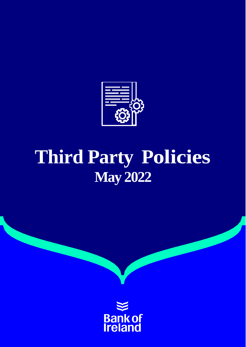

# **Third Party Policies May 2022**

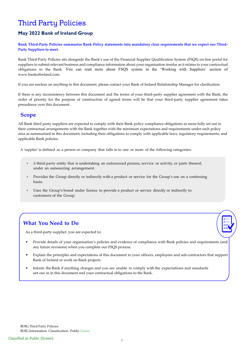# **Third Party Policies**

### **May 2022 Bank of Ireland Group**

**Bank Third-Party Policies summarise Bank Policy statements into mandatory clear requirements that we expect our Third-Party Suppliers to meet.** 

Bank Third-Party Policies sits alongside the Bank's use of the Financial Supplier Qualification System (FSQS) on-line portal for suppliers to submit relevant business and compliance information about your organisation insofar as it relates to your contractual obligations to the Bank. You can read more about FSQS system in the 'Working with Suppliers' section of [www.bankofireland.com.](http://www.bankofireland.com/)

If you are unclear on anything in this document, please contact your Bank of Ireland Relationship Manager for clarification.

If there is any inconsistency between this document and the terms of your third-party supplier agreement with the Bank, the order of priority for the purpose of construction of agreed terms will be that your third-party supplier agreement takes precedence over this document.

#### **Scope**

All Bank third party suppliers are expected to comply with their Bank policy compliance obligations as more fully set out in their contractual arrangements with the Bank together with the minimum expectations and requirements under each policy area as summarised in this document; including their obligations to comply with applicable laws, regulatory requirements, and applicable Bank policies.

A 'supplier' is defined as a person or company that falls in to one or more of the following categories:

- A third-party entity that is undertaking an outsourced process, service or activity, or parts thereof, under an outsourcing arrangement.
- Provides the Group directly or indirectly with a product or service for the Group's use on a continuing basis.
- Uses the Group's brand under licence to provide a product or service directly or indirectly to customers of the Group.

### **What You Need to Do**

As a third-party supplier, you are expected to:

- Provide details of your organisation's policies and evidence of compliance with Bank policies and requirements (and any future revisions) when you complete our FSQS process.
- Explain the principles and expectations of this document to your officers, employees and sub-contractors that support Bank of Ireland or work on Bank projects.
- Inform the Bank if anything changes and you are unable to comply with the expectations and standards set out in in this document and your contractual obligations to the Bank.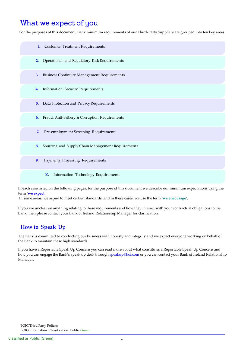### What we expect of you

For the purposes of this document, Bank minimum requirements of our Third-Party Suppliers are grouped into ten key areas:



In each case listed on the following pages, for the purpose of this document we describe our minimum expectations using the term '**we expect'**.

In some areas, we aspire to meet certain standards, and in these cases, we use the term **'we encourage'**.

If you are unclear on anything relating to these requirements and how they interact with your contractual obligations to the Bank, then please contact your Bank of Ireland Relationship Manager for clarification.

### **How to Speak Up**

The Bank is committed to conducting our business with honesty and integrity and we expect everyone working on behalf of the Bank to maintain these high standards.

If you have a Reportable Speak Up Concern you can read more about what constitutes a Reportable Speak Up Concern and how you can engage the Bank's speak up desk through [speakup@boi.com](mailto:speakup@boi.com) or you can contact your Bank of Ireland Relationship Manager.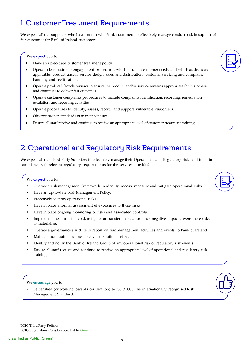# 1. Customer Treatment Requirements

We expect all our suppliers who have contact with Bank customers to effectively manage conduct risk in support of fair outcomes for Bank of Ireland customers.

We **expect** you to:

- Have an up-to-date customer treatment policy.
- Operate clear customer engagement procedures which focus on customer needs and which address as applicable, product and/or service design, sales and distribution, customer servicing and complaint handling and rectification.
- Operate product lifecycle reviews to ensure the product and/or service remains appropriate for customers and continues to deliver fair outcomes.
- Operate customer complaints procedures to include complaints identification, recording, remediation, escalation, and reporting activities.
- Operate procedures to identify, assess, record, and support vulnerable customers.
- Observe proper standards of market conduct.
- Ensure all staff receive and continue to receive an appropriate level of customer treatment training

### 2. Operational and Regulatory Risk Requirements

We expect all our Third-Party Suppliers to effectively manage their Operational and Regulatory risks and to be in compliance with relevant regulatory requirements for the services provided.

#### We **expect** you to:

- Operate a risk management framework to identify, assess, measure and mitigate operational risks.
- Have an up-to-date Risk Management Policy.
- Proactively identify operational risks.
- Have in place a formal assessment of exposures to those risks.
- Have in place ongoing monitoring of risks and associated controls.
- Implement measures to avoid, mitigate, or transfer financial or other negative impacts, were these risks to materialise.
- Operate a governance structure to report on risk management activities and events to Bank of Ireland.
- Maintain adequate insurance to cover operational risks.
- Identify and notify the Bank of Ireland Group of any operational risk or regulatory risk events.
- Ensure all staff receive and continue to receive an appropriate level of operational and regulatory risk training.

#### We **encourage** you to:

• Be certified (or working towards certification) to ISO 31000, the internationally recognised Risk Management Standard.

BOIG Third Party Policies BOIG Information Classification: Public Green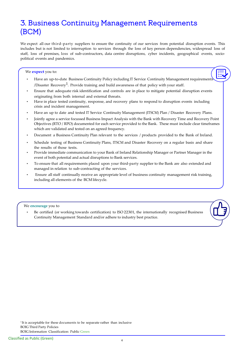### 3. Business Continuity Management Requirements (BCM)

We expect all our third-party suppliers to ensure the continuity of our services from potential disruption events. This includes but is not limited to interruption to services through the loss of key person dependencies, widespread loss of staff, loss of premises, loss of sub-contractors, data centre disruptions, cyber incidents, geographical events, sociopolitical events and pandemics.

#### We **expect** you to:

- Have an up-to-date Business Continuity Policy including IT Service Continuity Management requirements /Disaster Recovery<sup>1</sup>. Provide training and build awareness of that policy with your staff.
- Ensure that adequate risk identification and controls are in place to mitigate potential disruption events originating from both internal and external threats.
- Have in place tested continuity, response, and recovery plans to respond to disruption events including crisis and incident management.
- Have an up to date and tested IT Service Continuity Management (ITSCM) Plan / Disaster Recovery Plans.
- Jointly agree a service focussed Business Impact Analysis with the Bank with Recovery Time and Recovery Point Objectives (RTO / RPO) documented for each service provided to the Bank. These must include clear timeframes which are validated and tested on an agreed frequency.
- Document a Business Continuity Plan relevant to the services / products provided to the Bank of Ireland.
- Schedule testing of Business Continuity Plans, ITSCM and Disaster Recovery on a regular basis and share the results of those tests.
- Provide immediate communication to your Bank of Ireland Relationship Manager or Partner Manager in the event of both potential and actual disruptions to Bank services.
- To ensure that all requirements placed upon your third-party supplier to the Bank are also extended and managed in relation to sub-contracting of the services.
- Ensure all staff continually receive an appropriate level of business continuity management risk training, including all elements of the BCM lifecycle.

#### We **encourage** you to

í

• Be certified (or working towards certification) to ISO 22301, the internationally recognised Business Continuity Management Standard and/or adhere to industry best practice.

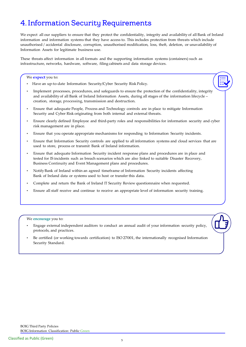# 4. Information Security Requirements

We expect all our suppliers to ensure that they protect the confidentiality, integrity and availability of all Bank of Ireland information and information systems that they have access to. This includes protection from threats which include unauthorised / accidental disclosure, corruption, unauthorised modification, loss, theft, deletion, or unavailability of Information Assets for legitimate business use.

These threats affect information in all formats and the supporting information systems (containers) such as infrastructure, networks, hardware, software, filing cabinets and data storage devices.

We **expect** you to:

- Have an up-to-date Information Security/Cyber Security Risk Policy.
- Implement processes, procedures, and safeguards to ensure the protection of the confidentiality, integrity and availability of all Bank of Ireland Information Assets, during all stages of the information lifecycle – creation, storage, processing, transmission and destruction.
- Ensure that adequate People, Process and Technology controls are in place to mitigate Information Security and Cyber Risk originating from both internal and external threats.
- Ensure clearly defined Employee and third-party roles and responsibilities for information security and cyber risk management are in place.
- Ensure that you operate appropriate mechanisms for responding to Information Security incidents.
- Ensure that Information Security controls are applied to all information systems and cloud services that are used to store, process or transmit Bank of Ireland information.
- Ensure that adequate Information Security incident response plans and procedures are in place and tested for IS incidents such as breach scenarios which are also linked to suitable Disaster Recovery, Business Continuity and Event Management plans and procedures.
- Notify Bank of Ireland within an agreed timeframe of Information Security incidents affecting Bank of Ireland data or systems used to host or transfer this data.
- Complete and return the Bank of Ireland IT Security Review questionnaire when requested.
- Ensure all staff receive and continue to receive an appropriate level of information security training.

We **encourage** you to:

- Engage external independent auditors to conduct an annual audit of your information security policy, protocols, and practices.
- Be certified (or working towards certification) to ISO 27001, the internationally recognised Information Security Standard.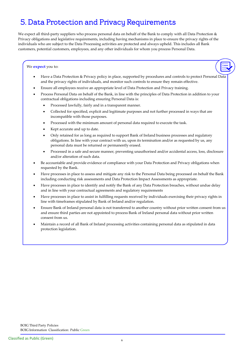# 5. Data Protection and Privacy Requirements

We expect all third-party suppliers who process personal data on behalf of the Bank to comply with all Data Protection & Privacy obligations and legislative requirements, including having mechanisms in place to ensure the privacy rights of the individuals who are subject to the Data Processing activities are protected and always upheld. This includes all Bank customers, potential customers, employees, and any other individuals for whom you process Personal Data.

#### We **expect** you to:

- Have a Data Protection & Privacy policy in place, supported by procedures and controls to protect Personal Data and the privacy rights of individuals, and monitor such controls to ensure they remain effective.
- Ensure all employees receive an appropriate level of Data Protection and Privacy training.
- Process Personal Data on behalf of the Bank, in line with the principles of Data Protection in addition to your contractual obligations including ensuring Personal Data is:
	- Processed lawfully, fairly and in a transparent manner.
	- Collected for specified, explicit and legitimate purposes and not further processed in ways that are incompatible with those purposes.
	- Processed with the minimum amount of personal data required to execute the task.
	- Kept accurate and up to date.
	- Only retained for as long as required to support Bank of Ireland business processes and regulatory obligations. In line with your contract with us, upon its termination and/or as requested by us, any personal data must be returned or permanently erased.
	- Processed in a safe and secure manner, preventing unauthorised and/or accidental access, loss, disclosure and/or alteration of such data.
- Be accountable and provide evidence of compliance with your Data Protection and Privacy obligations when requested by the Bank.
- Have processes in place to assess and mitigate any risk to the Personal Data being processed on behalf the Bank including conducting risk assessments and Data Protection Impact Assessments as appropriate.
- Have processes in place to identify and notify the Bank of any Data Protection breaches, without undue delay and in line with your contractual agreements and regulatory requirements
- Have processes in place to assist in fulfilling requests received by individuals exercising their privacy rights in line with timeframes stipulated by Bank of Ireland and/or regulation.
- Ensure Bank of Ireland personal data is not transferred to another country without prior written consent from us and ensure third parties are not appointed to process Bank of Ireland personal data without prior written consent from us.
- Maintain a record of all Bank of Ireland processing activities containing personal data as stipulated in data protection legislation.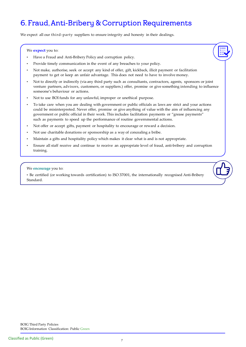# 6. Fraud, Anti-Bribery & Corruption Requirements

We expect all our third-party suppliers to ensure integrity and honesty in their dealings.

#### We **expect** you to:

- Have a Fraud and Anti-Bribery Policy and corruption policy.
- Provide timely communication in the event of any breaches to your policy.
- Not make, authorise, seek or accept any kind of offer, gift, kickback, illicit payment or facilitation payment to get or keep an unfair advantage. This does not need to have to involve money.
- Not to directly or indirectly (via any third party such as consultants, contractors, agents, sponsors or joint venture partners, advisors, customers, or suppliers.) offer, promise or give something intending to influence someone's behaviour or actions.
- Not to use BOI funds for any unlawful, improper or unethical purpose.
- To take care when you are dealing with government or public officials as laws are strict and your actions could be misinterpreted. Never offer, promise or give anything of value with the aim of influencing any government or public official in their work. This includes facilitation payments or "grease payments" such as payments to speed up the performance of routine governmental actions.
- Not offer or accept gifts, payment or hospitality to encourage or reward a decision.
- Not use charitable donations or sponsorship as a way of concealing a bribe.
- Maintain a gifts and hospitality policy which makes it clear what is and is not appropriate.
- Ensure all staff receive and continue to receive an appropriate level of fraud, anti-bribery and corruption training.

#### We **encourage** you to:

• Be certified (or working towards certification) to ISO 37001, the internationally recognised Anti-Bribery Standard.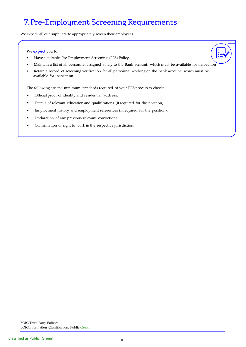# 7. Pre-Employment Screening Requirements

We expect all our suppliers to appropriately screen their employees.

We **expect** you to:

- Have a suitable Pre-Employment Screening (PES) Policy.
- Maintain a list of all personnel assigned solely to the Bank account, which must be available for inspection
- Retain a record of screening verification for all personnel working on the Bank account, which must be available for inspection.

The following are the minimum standards required of your PES process to check:

- Official proof of identity and residential address.
- Details of relevant education and qualifications (ifrequired for the position).
- Employment history and employment references (ifrequired for the position).
- Declaration of any previous relevant convictions.
- Confirmation of right to work in the respective jurisdiction.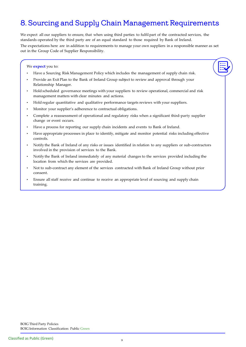# 8. Sourcing and Supply Chain Management Requirements

We expect all our suppliers to ensure, that when using third parties to fulfil part of the contracted services, the standards operated by the third party are of an equal standard to those required by Bank of Ireland. The expectations here are in addition to requirements to manage your own suppliers in a responsible manner as set out in the Group Code of Supplier Responsibility.

#### We **expect** you to:

- Have a Sourcing Risk Management Policy which includes the management of supply chain risk.
- Provide an Exit Plan to the Bank of Ireland Group subject to review and approval through your Relationship Manager.
- Hold scheduled governance meetings with your suppliers to review operational, commercial and risk management matters with clear minutes and actions.
- Hold regular quantitative and qualitative performance targets reviews with your suppliers.
- Monitor your supplier's adherence to contractual obligations.
- Complete a reassessment of operational and regulatory risks when a significant third-party supplier change or event occurs.
- Have a process for reporting our supply chain incidents and events to Bank of Ireland.
- Have appropriate processes in place to identify, mitigate and monitor potential risks including effective controls.
- Notify the Bank of Ireland of any risks or issues identified in relation to any suppliers or sub-contractors involved in the provision of services to the Bank.
- Notify the Bank of Ireland immediately of any material changes to the services provided including the location from which the services are provided.
- Not to sub-contract any element of the services contracted with Bank of Ireland Group without prior consent.
- Ensure all staff receive and continue to receive an appropriate level of sourcing and supply chain training.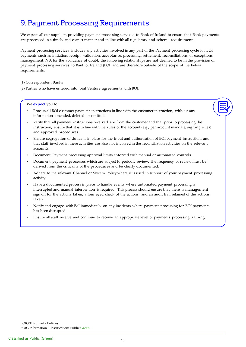# 9. Payment Processing Requirements

We expect all our suppliers providing payment processing services to Bank of Ireland to ensure that Bank payments are processed in a timely and correct manner and in line with all regulatory and scheme requirements.

Payment processing services includes any activities involved in any part of the Payment processing cycle for BOI payments such as initiation, receipt, validation, acceptance, processing, settlement, reconciliations, or exceptions management. **NB:** for the avoidance of doubt, the following relationships are not deemed to be in the provision of payment processing services to Bank of Ireland (BOI) and are therefore outside of the scope of the below requirements:

- (1) Correspondent Banks
- (2) Parties who have entered into Joint Venture agreements with BOI.

We **expect** you to:

- Process all BOI customer payment instructions in line with the customer instruction, without any information amended, deleted or omitted.
- Verify that all payment instructions received are from the customer and that prior to processing the instruction, ensure that it is in line with the rules of the account (e.g., per account mandate, signing rules) and approved procedures.
- Ensure segregation of duties is in place for the input and authorisation of BOI payment instructions and that staff involved in these activities are also not involved in the reconciliation activities on the relevant accounts
- Document Payment processing approval limits enforced with manual or automated controls
- Document payment processes which are subject to periodic review. The frequency of review must be derived from the criticality of the procedures and be clearly documented.
- Adhere to the relevant Channel or System Policy where it is used in support of your payment processing activity.
- Have a documented process in place to handle events where automated payment processing is interrupted and manual intervention is required. This process should ensure that there is management sign off for the actions taken; a four eyed check of the actions; and an audit trail retained of the actions taken.
- Notify and engage with BoI immediately on any incidents where payment processing for BOI payments has been disrupted.
- Ensure all staff receive and continue to receive an appropriate level of payments processing training.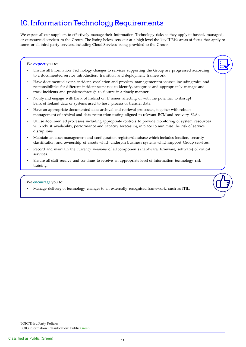# 10. Information Technology Requirements

We expect all our suppliers to effectively manage their Information Technology risks as they apply to hosted, managed, or outsourced services to the Group. The listing below sets out at a high level the key IT Risk areas of focus that apply to some or all third-party services, including Cloud Services being provided to the Group.

#### We **expect** you to:

- Ensure all Information Technology changes to services supporting the Group are progressed according to a documented service introduction, transition and deployment framework.
- Have documented event, incident, escalation and problem management processes including roles and responsibilities for different incident scenarios to identify, categorise and appropriately manage and track incidents and problems through to closure in a timely manner.
- Notify and engage with Bank of Ireland on IT issues affecting or with the potential to disrupt Bank of Ireland data or systems used to host, process or transfer data.
- Have an appropriate documented data archival and retrieval processes, together with robust management of archival and data restoration testing aligned to relevant BCM and recovery SLAs.
- Utilise documented processes including appropriate controls to provide monitoring of system resources with robust availability, performance and capacity forecasting in place to minimise the risk of service disruptions.
- Maintain an asset management and configuration register/database which includes location, security classification and ownership of assets which underpin business systems which support Group services.
- Record and maintain the currency versions of all components (hardware, firmware, software) of critical services.
- Ensure all staff receive and continue to receive an appropriate level of information technology risk training.

#### We **encourage** you to:

• Manage delivery of technology changes to an externally recognised framework, such as ITIL.